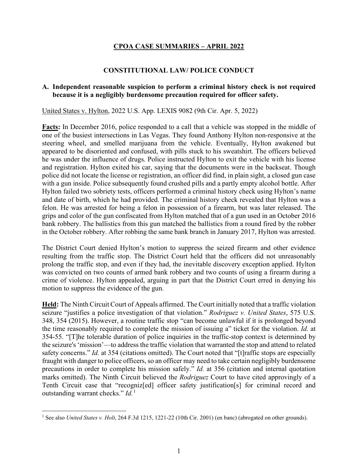# **CPOA CASE SUMMARIES – APRIL 2022**

### **CONSTITUTIONAL LAW/ POLICE CONDUCT**

### **A. Independent reasonable suspicion to perform a criminal history check is not required because it is a negligibly burdensome precaution required for officer safety.**

United States v. Hylton, 2022 U.S. App. LEXIS 9082 (9th Cir. Apr. 5, 2022)

**Facts:** In December 2016, police responded to a call that a vehicle was stopped in the middle of one of the busiest intersections in Las Vegas. They found Anthony Hylton non-responsive at the steering wheel, and smelled marijuana from the vehicle. Eventually, Hylton awakened but appeared to be disoriented and confused, with pills stuck to his sweatshirt. The officers believed he was under the influence of drugs. Police instructed Hylton to exit the vehicle with his license and registration. Hylton exited his car, saying that the documents were in the backseat. Though police did not locate the license or registration, an officer did find, in plain sight, a closed gun case with a gun inside. Police subsequently found crushed pills and a partly empty alcohol bottle. After Hylton failed two sobriety tests, officers performed a criminal history check using Hylton's name and date of birth, which he had provided. The criminal history check revealed that Hylton was a felon. He was arrested for being a felon in possession of a firearm, but was later released. The grips and color of the gun confiscated from Hylton matched that of a gun used in an October 2016 bank robbery. The ballistics from this gun matched the ballistics from a round fired by the robber in the October robbery. After robbing the same bank branch in January 2017, Hylton was arrested.

The District Court denied Hylton's motion to suppress the seized firearm and other evidence resulting from the traffic stop. The District Court held that the officers did not unreasonably prolong the traffic stop, and even if they had, the inevitable discovery exception applied. Hylton was convicted on two counts of armed bank robbery and two counts of using a firearm during a crime of violence. Hylton appealed, arguing in part that the District Court erred in denying his motion to suppress the evidence of the gun.

**Held:** The Ninth Circuit Court of Appeals affirmed. The Court initially noted that a traffic violation seizure "justifies a police investigation of that violation." *Rodriguez v. United States*, 575 U.S. 348, 354 (2015). However, a routine traffic stop "can become unlawful if it is prolonged beyond the time reasonably required to complete the mission of issuing a" ticket for the violation. *Id.* at 354-55. "[T]he tolerable duration of police inquiries in the traffic-stop context is determined by the seizure's 'mission'—to address the traffic violation that warranted the stop and attend to related safety concerns." *Id.* at 354 (citations omitted). The Court noted that "[t]raffic stops are especially fraught with danger to police officers, so an officer may need to take certain negligibly burdensome precautions in order to complete his mission safely." *Id.* at 356 (citation and internal quotation marks omitted). The Ninth Circuit believed the *Rodriguez* Court to have cited approvingly of a Tenth Circuit case that "recogniz[ed] officer safety justification[s] for criminal record and outstanding warrant checks." *Id.*[1](#page-0-0)

<span id="page-0-0"></span><sup>1</sup> See also *United States v. Holt*, 264 F.3d 1215, 1221-22 (10th Cir. 2001) (en banc) (abrogated on other grounds).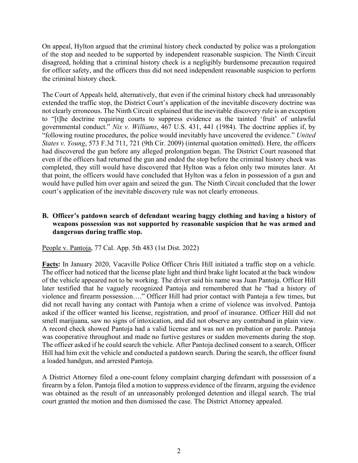On appeal, Hylton argued that the criminal history check conducted by police was a prolongation of the stop and needed to be supported by independent reasonable suspicion. The Ninth Circuit disagreed, holding that a criminal history check is a negligibly burdensome precaution required for officer safety, and the officers thus did not need independent reasonable suspicion to perform the criminal history check.

The Court of Appeals held, alternatively, that even if the criminal history check had unreasonably extended the traffic stop, the District Court's application of the inevitable discovery doctrine was not clearly erroneous. The Ninth Circuit explained that the inevitable discovery rule is an exception to "[t]he doctrine requiring courts to suppress evidence as the tainted 'fruit' of unlawful governmental conduct." *Nix v. Williams*, 467 U.S. 431, 441 (1984). The doctrine applies if, by "following routine procedures, the police would inevitably have uncovered the evidence." *United States v. Young*, 573 F.3d 711, 721 (9th Cir. 2009) (internal quotation omitted). Here, the officers had discovered the gun before any alleged prolongation began. The District Court reasoned that even if the officers had returned the gun and ended the stop before the criminal history check was completed, they still would have discovered that Hylton was a felon only two minutes later. At that point, the officers would have concluded that Hylton was a felon in possession of a gun and would have pulled him over again and seized the gun. The Ninth Circuit concluded that the lower court's application of the inevitable discovery rule was not clearly erroneous.

# **B. Officer's patdown search of defendant wearing baggy clothing and having a history of weapons possession was not supported by reasonable suspicion that he was armed and dangerous during traffic stop.**

People v. Pantoja, 77 Cal. App. 5th 483 (1st Dist. 2022)

**Facts:** In January 2020, Vacaville Police Officer Chris Hill initiated a traffic stop on a vehicle. The officer had noticed that the license plate light and third brake light located at the back window of the vehicle appeared not to be working. The driver said his name was Juan Pantoja. Officer Hill later testified that he vaguely recognized Pantoja and remembered that he "had a history of violence and firearm possession…." Officer Hill had prior contact with Pantoja a few times, but did not recall having any contact with Pantoja when a crime of violence was involved. Pantoja asked if the officer wanted his license, registration, and proof of insurance. Officer Hill did not smell marijuana, saw no signs of intoxication, and did not observe any contraband in plain view. A record check showed Pantoja had a valid license and was not on probation or parole. Pantoja was cooperative throughout and made no furtive gestures or sudden movements during the stop. The officer asked if he could search the vehicle. After Pantoja declined consent to a search, Officer Hill had him exit the vehicle and conducted a patdown search. During the search, the officer found a loaded handgun, and arrested Pantoja.

A District Attorney filed a one-count felony complaint charging defendant with possession of a firearm by a felon. Pantoja filed a motion to suppress evidence of the firearm, arguing the evidence was obtained as the result of an unreasonably prolonged detention and illegal search. The trial court granted the motion and then dismissed the case. The District Attorney appealed.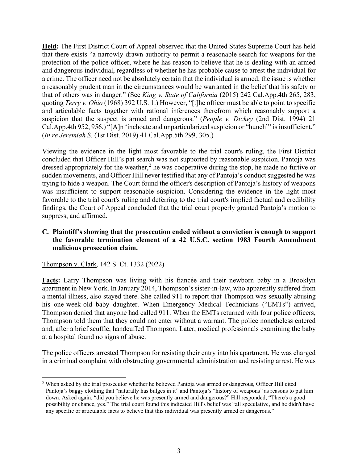**Held:** The First District Court of Appeal observed that the United States Supreme Court has held that there exists "a narrowly drawn authority to permit a reasonable search for weapons for the protection of the police officer, where he has reason to believe that he is dealing with an armed and dangerous individual, regardless of whether he has probable cause to arrest the individual for a crime. The officer need not be absolutely certain that the individual is armed; the issue is whether a reasonably prudent man in the circumstances would be warranted in the belief that his safety or that of others was in danger." (See *King v. State of California* (2015) 242 Cal.App.4th 265, 283, quoting *Terry v. Ohio* (1968) 392 U.S. 1.) However, "[t]he officer must be able to point to specific and articulable facts together with rational inferences therefrom which reasonably support a suspicion that the suspect is armed and dangerous." (*People v. Dickey* (2nd Dist. 1994) 21 Cal.App.4th 952, 956.) "[A]n 'inchoate and unparticularized suspicion or "hunch"' is insufficient." (*In re Jeremiah S.* (1st Dist. 2019) 41 Cal.App.5th 299, 305.)

Viewing the evidence in the light most favorable to the trial court's ruling, the First District concluded that Officer Hill's pat search was not supported by reasonable suspicion. Pantoja was dressed appropriately for the weather,<sup>[2](#page-2-0)</sup> he was cooperative during the stop, he made no furtive or sudden movements, and Officer Hill never testified that any of Pantoja's conduct suggested he was trying to hide a weapon. The Court found the officer's description of Pantoja's history of weapons was insufficient to support reasonable suspicion. Considering the evidence in the light most favorable to the trial court's ruling and deferring to the trial court's implied factual and credibility findings, the Court of Appeal concluded that the trial court properly granted Pantoja's motion to suppress, and affirmed.

## **C. Plaintiff's showing that the prosecution ended without a conviction is enough to support the favorable termination element of a 42 U.S.C. section 1983 Fourth Amendment malicious prosecution claim.**

Thompson v. Clark, 142 S. Ct. 1332 (2022)

**Facts:** Larry Thompson was living with his fiancée and their newborn baby in a Brooklyn apartment in New York. In January 2014, Thompson's sister-in-law, who apparently suffered from a mental illness, also stayed there. She called 911 to report that Thompson was sexually abusing his one-week-old baby daughter. When Emergency Medical Technicians ("EMTs") arrived, Thompson denied that anyone had called 911. When the EMTs returned with four police officers, Thompson told them that they could not enter without a warrant. The police nonetheless entered and, after a brief scuffle, handcuffed Thompson. Later, medical professionals examining the baby at a hospital found no signs of abuse.

The police officers arrested Thompson for resisting their entry into his apartment. He was charged in a criminal complaint with obstructing governmental administration and resisting arrest. He was

<span id="page-2-0"></span><sup>&</sup>lt;sup>2</sup> When asked by the trial prosecutor whether he believed Pantoja was armed or dangerous, Officer Hill cited Pantoja's baggy clothing that "naturally has bulges in it" and Pantoja's "history of weapons" as reasons to pat him down. Asked again, "did you believe he was presently armed and dangerous?" Hill responded, "There's a good possibility or chance, yes." The trial court found this indicated Hill's belief was "all speculative, and he didn't have any specific or articulable facts to believe that this individual was presently armed or dangerous."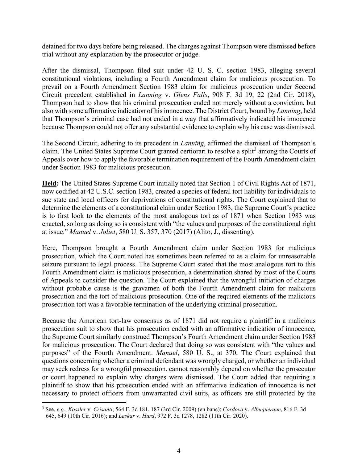detained for two days before being released. The charges against Thompson were dismissed before trial without any explanation by the prosecutor or judge.

After the dismissal, Thompson filed suit under 42 U. S. C. section 1983, alleging several constitutional violations, including a Fourth Amendment claim for malicious prosecution. To prevail on a Fourth Amendment Section 1983 claim for malicious prosecution under Second Circuit precedent established in *Lanning* v. *Glens Falls*, 908 F. 3d 19, 22 (2nd Cir. 2018), Thompson had to show that his criminal prosecution ended not merely without a conviction, but also with some affirmative indication of his innocence. The District Court, bound by *Lanning*, held that Thompson's criminal case had not ended in a way that affirmatively indicated his innocence because Thompson could not offer any substantial evidence to explain why his case was dismissed.

The Second Circuit, adhering to its precedent in *Lanning*, affirmed the dismissal of Thompson's claim. The United States Supreme Court granted certiorari to resolve a split<sup>[3](#page-3-0)</sup> among the Courts of Appeals over how to apply the favorable termination requirement of the Fourth Amendment claim under Section 1983 for malicious prosecution.

**Held:** The United States Supreme Court initially noted that Section 1 of Civil Rights Act of 1871, now codified at 42 U.S.C. section 1983, created a species of federal tort liability for individuals to sue state and local officers for deprivations of constitutional rights. The Court explained that to determine the elements of a constitutional claim under Section 1983, the Supreme Court's practice is to first look to the elements of the most analogous tort as of 1871 when Section 1983 was enacted, so long as doing so is consistent with "the values and purposes of the constitutional right at issue." *Manuel* v. *Joliet*, 580 U. S. 357, 370 (2017) (Alito, J., dissenting).

Here, Thompson brought a Fourth Amendment claim under Section 1983 for malicious prosecution, which the Court noted has sometimes been referred to as a claim for unreasonable seizure pursuant to legal process. The Supreme Court stated that the most analogous tort to this Fourth Amendment claim is malicious prosecution, a determination shared by most of the Courts of Appeals to consider the question. The Court explained that the wrongful initiation of charges without probable cause is the gravamen of both the Fourth Amendment claim for malicious prosecution and the tort of malicious prosecution. One of the required elements of the malicious prosecution tort was a favorable termination of the underlying criminal prosecution.

Because the American tort-law consensus as of 1871 did not require a plaintiff in a malicious prosecution suit to show that his prosecution ended with an affirmative indication of innocence, the Supreme Court similarly construed Thompson's Fourth Amendment claim under Section 1983 for malicious prosecution. The Court declared that doing so was consistent with "the values and purposes" of the Fourth Amendment. *Manuel*, 580 U. S., at 370. The Court explained that questions concerning whether a criminal defendant was wrongly charged, or whether an individual may seek redress for a wrongful prosecution, cannot reasonably depend on whether the prosecutor or court happened to explain why charges were dismissed. The Court added that requiring a plaintiff to show that his prosecution ended with an affirmative indication of innocence is not necessary to protect officers from unwarranted civil suits, as officers are still protected by the

<span id="page-3-0"></span><sup>3</sup> See, *e.g.*, *Kossler* v. *Crisanti*, 564 F. 3d 181, 187 (3rd Cir. 2009) (en banc); *Cordova* v. *Albuquerque*, 816 F. 3d 645, 649 (10th Cir. 2016); and *Laskar* v. *Hurd*, 972 F. 3d 1278, 1282 (11th Cir. 2020).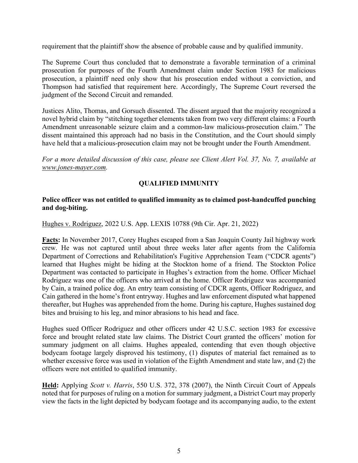requirement that the plaintiff show the absence of probable cause and by qualified immunity.

The Supreme Court thus concluded that to demonstrate a favorable termination of a criminal prosecution for purposes of the Fourth Amendment claim under Section 1983 for malicious prosecution, a plaintiff need only show that his prosecution ended without a conviction, and Thompson had satisfied that requirement here. Accordingly, The Supreme Court reversed the judgment of the Second Circuit and remanded.

Justices Alito, Thomas, and Gorsuch dissented. The dissent argued that the majority recognized a novel hybrid claim by "stitching together elements taken from two very different claims: a Fourth Amendment unreasonable seizure claim and a common-law malicious-prosecution claim." The dissent maintained this approach had no basis in the Constitution, and the Court should simply have held that a malicious-prosecution claim may not be brought under the Fourth Amendment.

*For a more detailed discussion of this case, please see Client Alert Vol. 37, No. 7, available at [www.jones-mayer.com.](https://jones-mayer.com/)*

# **QUALIFIED IMMUNITY**

# **Police officer was not entitled to qualified immunity as to claimed post-handcuffed punching and dog-biting.**

Hughes v. Rodriguez, 2022 U.S. App. LEXIS 10788 (9th Cir. Apr. 21, 2022)

**Facts:** In November 2017, Corey Hughes escaped from a San Joaquin County Jail highway work crew. He was not captured until about three weeks later after agents from the California Department of Corrections and Rehabilitation's Fugitive Apprehension Team ("CDCR agents") learned that Hughes might be hiding at the Stockton home of a friend. The Stockton Police Department was contacted to participate in Hughes's extraction from the home. Officer Michael Rodriguez was one of the officers who arrived at the home. Officer Rodriguez was accompanied by Cain, a trained police dog. An entry team consisting of CDCR agents, Officer Rodriguez, and Cain gathered in the home's front entryway. Hughes and law enforcement disputed what happened thereafter, but Hughes was apprehended from the home. During his capture, Hughes sustained dog bites and bruising to his leg, and minor abrasions to his head and face.

Hughes sued Officer Rodriguez and other officers under 42 U.S.C. section 1983 for excessive force and brought related state law claims. The District Court granted the officers' motion for summary judgment on all claims. Hughes appealed, contending that even though objective bodycam footage largely disproved his testimony, (1) disputes of material fact remained as to whether excessive force was used in violation of the Eighth Amendment and state law, and (2) the officers were not entitled to qualified immunity.

**Held:** Applying *Scott v. Harris*, 550 U.S. 372, 378 (2007), the Ninth Circuit Court of Appeals noted that for purposes of ruling on a motion for summary judgment, a District Court may properly view the facts in the light depicted by bodycam footage and its accompanying audio, to the extent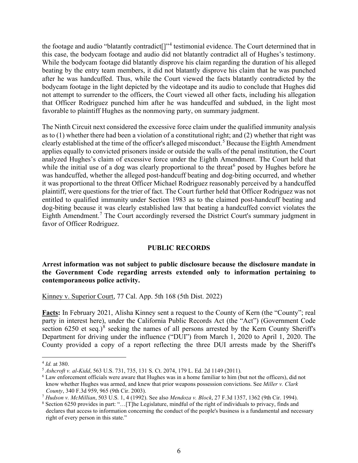the footage and audio "blatantly contradict[]"[4](#page-5-0) testimonial evidence. The Court determined that in this case, the bodycam footage and audio did not blatantly contradict all of Hughes's testimony. While the bodycam footage did blatantly disprove his claim regarding the duration of his alleged beating by the entry team members, it did not blatantly disprove his claim that he was punched after he was handcuffed. Thus, while the Court viewed the facts blatantly contradicted by the bodycam footage in the light depicted by the videotape and its audio to conclude that Hughes did not attempt to surrender to the officers, the Court viewed all other facts, including his allegation that Officer Rodriguez punched him after he was handcuffed and subdued, in the light most favorable to plaintiff Hughes as the nonmoving party, on summary judgment.

The Ninth Circuit next considered the excessive force claim under the qualified immunity analysis as to (1) whether there had been a violation of a constitutional right; and (2) whether that right was clearly established at the time of the officer's alleged misconduct.<sup>[5](#page-5-1)</sup> Because the Eighth Amendment applies equally to convicted prisoners inside or outside the walls of the penal institution, the Court analyzed Hughes's claim of excessive force under the Eighth Amendment. The Court held that while the initial use of a dog was clearly proportional to the threat posed by Hughes before he was handcuffed, whether the alleged post-handcuff beating and dog-biting occurred, and whether it was proportional to the threat Officer Michael Rodriguez reasonably perceived by a handcuffed plaintiff, were questions for the trier of fact. The Court further held that Officer Rodriguez was not entitled to qualified immunity under Section 1983 as to the claimed post-handcuff beating and dog-biting because it was clearly established law that beating a handcuffed convict violates the Eighth Amendment.<sup>[7](#page-5-3)</sup> The Court accordingly reversed the District Court's summary judgment in favor of Officer Rodriguez.

### **PUBLIC RECORDS**

**Arrest information was not subject to public disclosure because the disclosure mandate in the Government Code regarding arrests extended only to information pertaining to contemporaneous police activity.** 

Kinney v. Superior Court, 77 Cal. App. 5th 168 (5th Dist. 2022)

Facts: In February 2021, Alisha Kinney sent a request to the County of Kern (the "County"; real party in interest here), under the California Public Records Act (the "Act") (Government Code section 6250 et seq.)<sup>[8](#page-5-4)</sup> seeking the names of all persons arrested by the Kern County Sheriff's Department for driving under the influence ("DUI") from March 1, 2020 to April 1, 2020. The County provided a copy of a report reflecting the three DUI arrests made by the Sheriff's

<span id="page-5-0"></span><sup>4</sup> *Id.* at 380.

<span id="page-5-1"></span><sup>5</sup> *Ashcroft v. al-Kidd*, 563 U.S. 731, 735, 131 S. Ct. 2074, 179 L. Ed. 2d 1149 (2011).

<span id="page-5-2"></span><sup>6</sup> Law enforcement officials were aware that Hughes was in a home familiar to him (but not the officers), did not know whether Hughes was armed, and knew that prior weapons possession convictions. See *Miller v. Clark County*, 340 F.3d 959, 965 (9th Cir. 2003).<br><sup>7</sup> Hudson v. McMillian, 503 U.S. 1, 4 (1992). See also Mendoza v. Block, 27 F.3d 1357, 1362 (9th Cir. 1994).

<span id="page-5-3"></span>

<span id="page-5-4"></span><sup>&</sup>lt;sup>8</sup> Section 6250 provides in part: "... [T]he Legislature, mindful of the right of individuals to privacy, finds and declares that access to information concerning the conduct of the people's business is a fundamental and necessary right of every person in this state."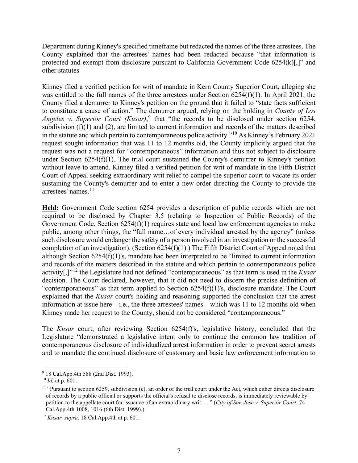Department during Kinney's specified timeframe but redacted the names of the three arrestees. The County explained that the arrestees' names had been redacted because "that information is protected and exempt from disclosure pursuant to California Government Code 6254(k)[,]" and other statutes

Kinney filed a verified petition for writ of mandate in Kern County Superior Court, alleging she was entitled to the full names of the three arrestees under Section 6254(f)(1). In April 2021, the County filed a demurrer to Kinney's petition on the ground that it failed to "state facts sufficient to constitute a cause of action." The demurrer argued, relying on the holding in *County of Los*  Angeles v. Superior Court (Kusar),<sup>[9](#page-6-0)</sup> that "the records to be disclosed under section 6254, subdivision (f)(1) and (2), are limited to current information and records of the matters described in the statute and which pertain to contemporaneous police activity."[10](#page-6-1) As Kinney's February 2021 request sought information that was 11 to 12 months old, the County implicitly argued that the request was not a request for "contemporaneous" information and thus not subject to disclosure under Section 6254(f)(1). The trial court sustained the County's demurrer to Kinney's petition without leave to amend. Kinney filed a verified petition for writ of mandate in the Fifth District Court of Appeal seeking extraordinary writ relief to compel the superior court to vacate its order sustaining the County's demurrer and to enter a new order directing the County to provide the arrestees' names.<sup>[11](#page-6-2)</sup>

**Held:** Government Code section 6254 provides a description of public records which are not required to be disclosed by Chapter 3.5 (relating to Inspection of Public Records) of the Government Code. Section 6254(f)(1) requires state and local law enforcement agencies to make public, among other things, the "full name…of every individual arrested by the agency" (unless such disclosure would endanger the safety of a person involved in an investigation or the successful completion of an investigation). (Section 6254(f)(1).) The Fifth District Court of Appeal noted that although Section 6254(f)(1)'s, mandate had been interpreted to be "limited to current information and records of the matters described in the statute and which pertain to contemporaneous police activity[,]"[12](#page-6-3) the Legislature had not defined "contemporaneous" as that term is used in the *Kusar* decision. The Court declared, however, that it did not need to discern the precise definition of "contemporaneous" as that term applied to Section 6254(f)(1)'s, disclosure mandate. The Court explained that the *Kusar* court's holding and reasoning supported the conclusion that the arrest information at issue here—i.e., the three arrestees' names—which was 11 to 12 months old when Kinney made her request to the County, should not be considered "contemporaneous."

The *Kusar* court, after reviewing Section 6254(f)'s, legislative history, concluded that the Legislature "demonstrated a legislative intent only to continue the common law tradition of contemporaneous disclosure of individualized arrest information in order to prevent secret arrests and to mandate the continued disclosure of customary and basic law enforcement information to

<span id="page-6-0"></span><sup>9</sup> 18 Cal.App.4th 588 (2nd Dist. 1993).

<span id="page-6-1"></span> $^{10}$  *Id.* at p. 601.

<span id="page-6-2"></span> $11$  "Pursuant to section 6259, subdivision (c), an order of the trial court under the Act, which either directs disclosure of records by a public official or supports the official's refusal to disclose records, is immediately reviewable by petition to the appellate court for issuance of an extraordinary writ. …" (*City of San Jose v. Superior Court*, 74 Cal.App.4th 1008, 1016 (6th Dist. 1999).)

<span id="page-6-3"></span><sup>12</sup> *Kusar, supra*, 18 Cal.App.4th at p. 601.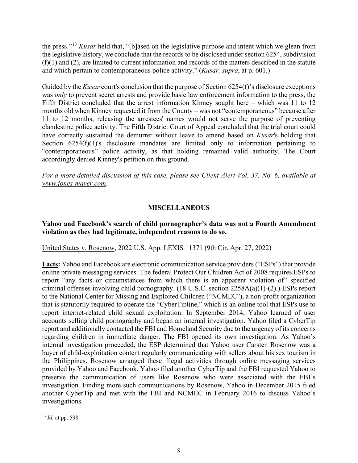the press."[13](#page-7-0) *Kusar* held that, "[b]ased on the legislative purpose and intent which we glean from the legislative history, we conclude that the records to be disclosed under section 6254, subdivision  $(f)(1)$  and  $(2)$ , are limited to current information and records of the matters described in the statute and which pertain to contemporaneous police activity." (*Kusar, supra*, at p. 601.)

Guided by the *Kusar* court's conclusion that the purpose of Section 6254(f)'s disclosure exceptions was *only* to prevent secret arrests and provide basic law enforcement information to the press, the Fifth District concluded that the arrest information Kinney sought here – which was 11 to 12 months old when Kinney requested it from the County – was not "contemporaneous" because after 11 to 12 months, releasing the arrestees' names would not serve the purpose of preventing clandestine police activity. The Fifth District Court of Appeal concluded that the trial court could have correctly sustained the demurrer without leave to amend based on *Kusar*'s holding that Section 6254(f)(1)'s disclosure mandates are limited only to information pertaining to "contemporaneous" police activity, as that holding remained valid authority. The Court accordingly denied Kinney's petition on this ground.

*For a more detailed discussion of this case, please see Client Alert Vol. 37, No. 6, available at [www.jones-mayer.com.](https://jones-mayer.com/)*

# **MISCELLANEOUS**

## **Yahoo and Facebook's search of child pornographer's data was not a Fourth Amendment violation as they had legitimate, independent reasons to do so.**

United States v. Rosenow, 2022 U.S. App. LEXIS 11371 (9th Cir. Apr. 27, 2022)

**Facts:** Yahoo and Facebook are electronic communication service providers ("ESPs") that provide online private messaging services. The federal Protect Our Children Act of 2008 requires ESPs to report "any facts or circumstances from which there is an apparent violation of" specified criminal offenses involving child pornography. (18 U.S.C. section 2258A(a)(1)-(2).) ESPs report to the National Center for Missing and Exploited Children ("NCMEC"), a non-profit organization that is statutorily required to operate the "CyberTipline," which is an online tool that ESPs use to report internet-related child sexual exploitation. In September 2014, Yahoo learned of user accounts selling child pornography and began an internal investigation. Yahoo filed a CyberTip report and additionally contacted the FBI and Homeland Security due to the urgency of its concerns regarding children in immediate danger. The FBI opened its own investigation. As Yahoo's internal investigation proceeded, the ESP determined that Yahoo user Carsten Rosenow was a buyer of child-exploitation content regularly communicating with sellers about his sex tourism in the Philippines. Rosenow arranged these illegal activities through online messaging services provided by Yahoo and Facebook. Yahoo filed another CyberTip and the FBI requested Yahoo to preserve the communication of users like Rosenow who were associated with the FBI's investigation. Finding more such communications by Rosenow, Yahoo in December 2015 filed another CyberTip and met with the FBI and NCMEC in February 2016 to discuss Yahoo's investigations.

<span id="page-7-0"></span><sup>13</sup> *Id.* at pp. 598.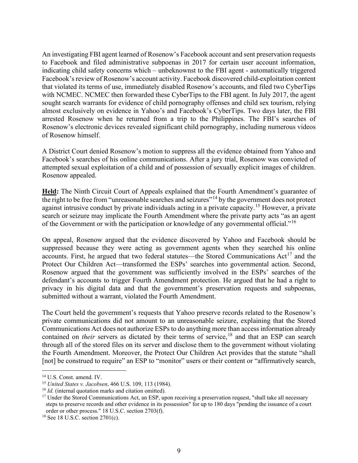An investigating FBI agent learned of Rosenow's Facebook account and sent preservation requests to Facebook and filed administrative subpoenas in 2017 for certain user account information, indicating child safety concerns which – unbeknownst to the FBI agent - automatically triggered Facebook's review of Rosenow's account activity. Facebook discovered child-exploitation content that violated its terms of use, immediately disabled Rosenow's accounts, and filed two CyberTips with NCMEC. NCMEC then forwarded these CyberTips to the FBI agent. In July 2017, the agent sought search warrants for evidence of child pornography offenses and child sex tourism, relying almost exclusively on evidence in Yahoo's and Facebook's CyberTips. Two days later, the FBI arrested Rosenow when he returned from a trip to the Philippines. The FBI's searches of Rosenow's electronic devices revealed significant child pornography, including numerous videos of Rosenow himself.

A District Court denied Rosenow's motion to suppress all the evidence obtained from Yahoo and Facebook's searches of his online communications. After a jury trial, Rosenow was convicted of attempted sexual exploitation of a child and of possession of sexually explicit images of children. Rosenow appealed.

**Held:** The Ninth Circuit Court of Appeals explained that the Fourth Amendment's guarantee of the right to be free from "unreasonable searches and seizures"[14](#page-8-0) by the government does not protect against intrusive conduct by private individuals acting in a private capacity.[15](#page-8-1) However, a private search or seizure may implicate the Fourth Amendment where the private party acts "as an agent of the Government or with the participation or knowledge of any governmental official."<sup>16</sup>

On appeal, Rosenow argued that the evidence discovered by Yahoo and Facebook should be suppressed because they were acting as government agents when they searched his online accounts. First, he argued that two federal statutes—the Stored Communications  $Act^{17}$  $Act^{17}$  $Act^{17}$  and the Protect Our Children Act—transformed the ESPs' searches into governmental action. Second, Rosenow argued that the government was sufficiently involved in the ESPs' searches of the defendant's accounts to trigger Fourth Amendment protection. He argued that he had a right to privacy in his digital data and that the government's preservation requests and subpoenas, submitted without a warrant, violated the Fourth Amendment.

The Court held the government's requests that Yahoo preserve records related to the Rosenow's private communications did not amount to an unreasonable seizure, explaining that the Stored Communications Act does not authorize ESPs to do anything more than access information already contained on *their* servers as dictated by their terms of service, [18](#page-8-4) and that an ESP can search through all of the stored files on its server and disclose them to the government without violating the Fourth Amendment. Moreover, the Protect Our Children Act provides that the statute "shall [not] be construed to require" an ESP to "monitor" users or their content or "affirmatively search,

<span id="page-8-0"></span><sup>14</sup> U.S. Const. amend. IV.

<span id="page-8-1"></span><sup>15</sup> *United States v. Jacobsen*, 466 U.S. 109, 113 (1984).

<span id="page-8-2"></span><sup>16</sup> *Id.* (internal quotation marks and citation omitted).

<span id="page-8-3"></span><sup>&</sup>lt;sup>17</sup> Under the Stored Communications Act, an ESP, upon receiving a preservation request, "shall take all necessary steps to preserve records and other evidence in its possession" for up to 180 days "pending the issuance of a court order or other process." 18 U.S.C. section 2703(f).

<span id="page-8-4"></span><sup>18</sup> See 18 U.S.C. section 2701(c).